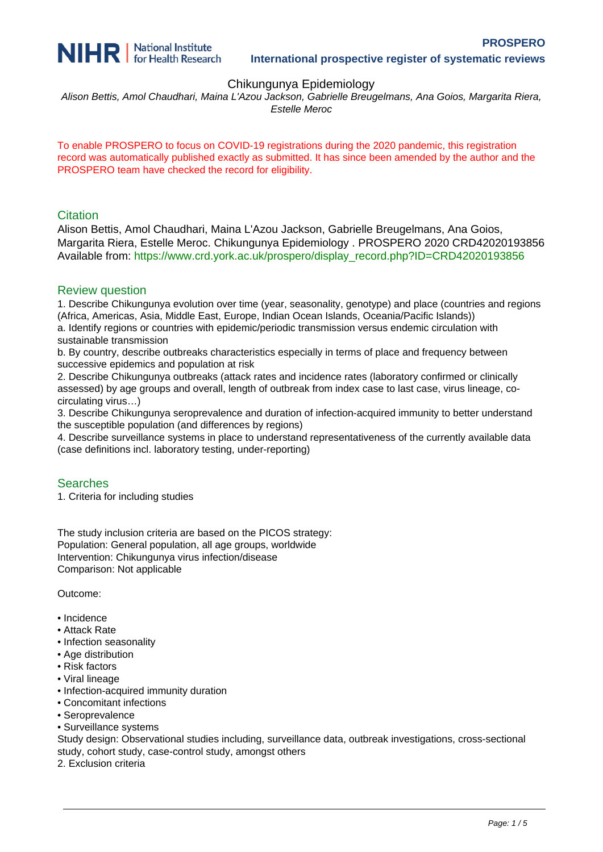

## Chikungunya Epidemiology

Alison Bettis, Amol Chaudhari, Maina L'Azou Jackson, Gabrielle Breugelmans, Ana Goios, Margarita Riera, Estelle Meroc

To enable PROSPERO to focus on COVID-19 registrations during the 2020 pandemic, this registration record was automatically published exactly as submitted. It has since been amended by the author and the PROSPERO team have checked the record for eligibility.

#### **Citation**

Alison Bettis, Amol Chaudhari, Maina L'Azou Jackson, Gabrielle Breugelmans, Ana Goios, Margarita Riera, Estelle Meroc. Chikungunya Epidemiology . PROSPERO 2020 CRD42020193856 Available from: [https://www.crd.york.ac.uk/prospero/display\\_record.php?ID=CRD42020193856](https://www.crd.york.ac.uk/prospero/display_record.php?ID=CRD42020193856)

#### Review question

1. Describe Chikungunya evolution over time (year, seasonality, genotype) and place (countries and regions (Africa, Americas, Asia, Middle East, Europe, Indian Ocean Islands, Oceania/Pacific Islands))

a. Identify regions or countries with epidemic/periodic transmission versus endemic circulation with sustainable transmission

b. By country, describe outbreaks characteristics especially in terms of place and frequency between successive epidemics and population at risk

2. Describe Chikungunya outbreaks (attack rates and incidence rates (laboratory confirmed or clinically assessed) by age groups and overall, length of outbreak from index case to last case, virus lineage, cocirculating virus…)

3. Describe Chikungunya seroprevalence and duration of infection-acquired immunity to better understand the susceptible population (and differences by regions)

4. Describe surveillance systems in place to understand representativeness of the currently available data (case definitions incl. laboratory testing, under-reporting)

#### Searches

1. Criteria for including studies

The study inclusion criteria are based on the PICOS strategy: Population: General population, all age groups, worldwide Intervention: Chikungunya virus infection/disease Comparison: Not applicable

Outcome:

- Incidence
- Attack Rate
- Infection seasonality
- Age distribution
- Risk factors
- Viral lineage
- Infection-acquired immunity duration
- Concomitant infections
- Seroprevalence
- Surveillance systems

Study design: Observational studies including, surveillance data, outbreak investigations, cross-sectional study, cohort study, case-control study, amongst others

2. Exclusion criteria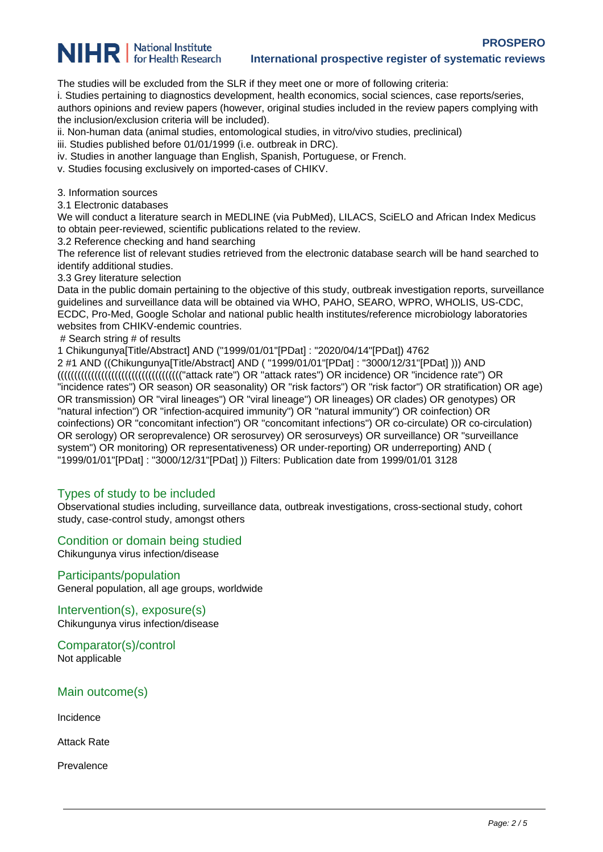

# **NIHR** | National Institute

#### **International prospective register of systematic reviews**

The studies will be excluded from the SLR if they meet one or more of following criteria:

i. Studies pertaining to diagnostics development, health economics, social sciences, case reports/series,

authors opinions and review papers (however, original studies included in the review papers complying with the inclusion/exclusion criteria will be included).

- ii. Non-human data (animal studies, entomological studies, in vitro/vivo studies, preclinical)
- iii. Studies published before 01/01/1999 (i.e. outbreak in DRC).
- iv. Studies in another language than English, Spanish, Portuguese, or French.
- v. Studies focusing exclusively on imported-cases of CHIKV.

3. Information sources

3.1 Electronic databases

We will conduct a literature search in MEDLINE (via PubMed), LILACS, SciELO and African Index Medicus to obtain peer-reviewed, scientific publications related to the review.

3.2 Reference checking and hand searching

The reference list of relevant studies retrieved from the electronic database search will be hand searched to identify additional studies.

3.3 Grey literature selection

Data in the public domain pertaining to the objective of this study, outbreak investigation reports, surveillance guidelines and surveillance data will be obtained via WHO, PAHO, SEARO, WPRO, WHOLIS, US-CDC, ECDC, Pro-Med, Google Scholar and national public health institutes/reference microbiology laboratories websites from CHIKV-endemic countries.

# Search string # of results

1 Chikungunya[Title/Abstract] AND ("1999/01/01"[PDat] : "2020/04/14"[PDat]) 4762

2 #1 AND ((Chikungunya[Title/Abstract] AND ( "1999/01/01"[PDat] : "3000/12/31"[PDat] ))) AND ((((((((((((((((((((((((((((((((((((("attack rate") OR "attack rates") OR incidence) OR "incidence rate") OR "incidence rates") OR season) OR seasonality) OR "risk factors") OR "risk factor") OR stratification) OR age) OR transmission) OR "viral lineages") OR "viral lineage") OR lineages) OR clades) OR genotypes) OR "natural infection") OR "infection-acquired immunity") OR "natural immunity") OR coinfection) OR coinfections) OR "concomitant infection") OR "concomitant infections") OR co-circulate) OR co-circulation) OR serology) OR seroprevalence) OR serosurvey) OR serosurveys) OR surveillance) OR "surveillance system") OR monitoring) OR representativeness) OR under-reporting) OR underreporting) AND ( "1999/01/01"[PDat] : "3000/12/31"[PDat] )) Filters: Publication date from 1999/01/01 3128

# Types of study to be included

Observational studies including, surveillance data, outbreak investigations, cross-sectional study, cohort study, case-control study, amongst others

Condition or domain being studied

Chikungunya virus infection/disease

#### Participants/population

General population, all age groups, worldwide

Intervention(s), exposure(s) Chikungunya virus infection/disease

Comparator(s)/control Not applicable

Main outcome(s)

Incidence

Attack Rate

Prevalence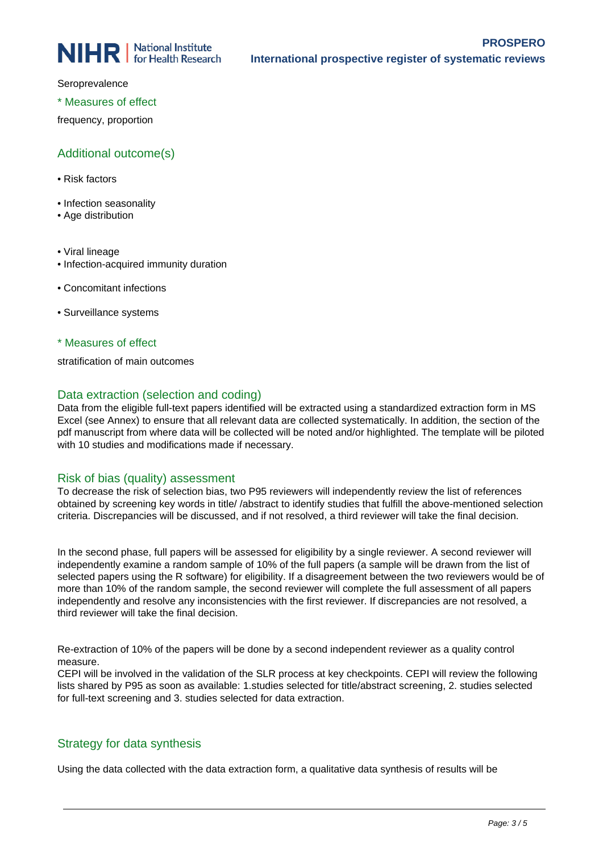Seroprevalence

\* Measures of effect

frequency, proportion

# Additional outcome(s)

- Risk factors
- Infection seasonality
- Age distribution
- Viral lineage
- Infection-acquired immunity duration
- Concomitant infections
- Surveillance systems

\* Measures of effect

stratification of main outcomes

# Data extraction (selection and coding)

Data from the eligible full-text papers identified will be extracted using a standardized extraction form in MS Excel (see Annex) to ensure that all relevant data are collected systematically. In addition, the section of the pdf manuscript from where data will be collected will be noted and/or highlighted. The template will be piloted with 10 studies and modifications made if necessary.

# Risk of bias (quality) assessment

To decrease the risk of selection bias, two P95 reviewers will independently review the list of references obtained by screening key words in title/ /abstract to identify studies that fulfill the above-mentioned selection criteria. Discrepancies will be discussed, and if not resolved, a third reviewer will take the final decision.

In the second phase, full papers will be assessed for eligibility by a single reviewer. A second reviewer will independently examine a random sample of 10% of the full papers (a sample will be drawn from the list of selected papers using the R software) for eligibility. If a disagreement between the two reviewers would be of more than 10% of the random sample, the second reviewer will complete the full assessment of all papers independently and resolve any inconsistencies with the first reviewer. If discrepancies are not resolved, a third reviewer will take the final decision.

Re-extraction of 10% of the papers will be done by a second independent reviewer as a quality control measure.

CEPI will be involved in the validation of the SLR process at key checkpoints. CEPI will review the following lists shared by P95 as soon as available: 1.studies selected for title/abstract screening, 2. studies selected for full-text screening and 3. studies selected for data extraction.

# Strategy for data synthesis

Using the data collected with the data extraction form, a qualitative data synthesis of results will be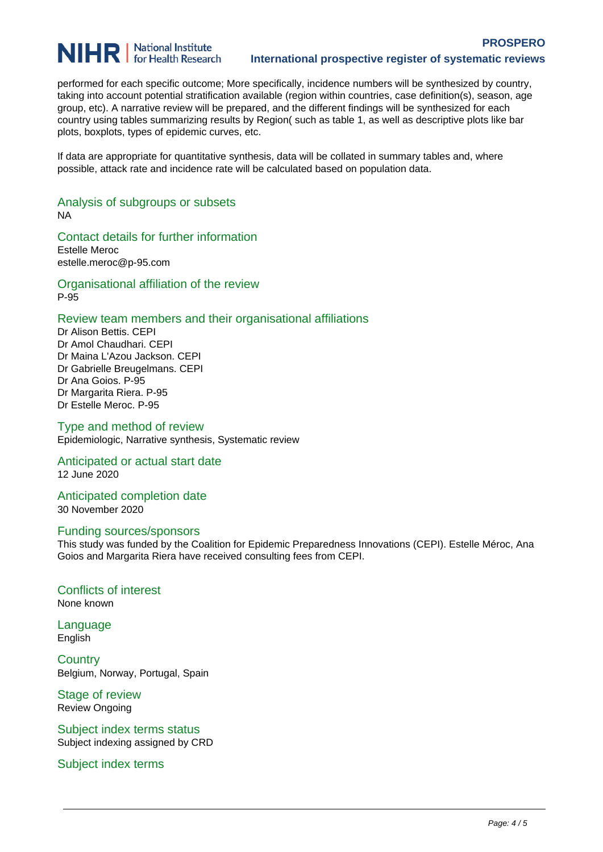# **NIHR** | National Institute

performed for each specific outcome; More specifically, incidence numbers will be synthesized by country, taking into account potential stratification available (region within countries, case definition(s), season, age group, etc). A narrative review will be prepared, and the different findings will be synthesized for each country using tables summarizing results by Region( such as table 1, as well as descriptive plots like bar plots, boxplots, types of epidemic curves, etc.

If data are appropriate for quantitative synthesis, data will be collated in summary tables and, where possible, attack rate and incidence rate will be calculated based on population data.

Analysis of subgroups or subsets NA

Contact details for further information Estelle Meroc estelle.meroc@p-95.com

Organisational affiliation of the review P-95

#### Review team members and their organisational affiliations

Dr Alison Bettis. CEPI Dr Amol Chaudhari. CEPI Dr Maina L'Azou Jackson. CEPI Dr Gabrielle Breugelmans. CEPI Dr Ana Goios. P-95 Dr Margarita Riera. P-95 Dr Estelle Meroc. P-95

Type and method of review Epidemiologic, Narrative synthesis, Systematic review

#### Anticipated or actual start date 12 June 2020

Anticipated completion date 30 November 2020

#### Funding sources/sponsors

This study was funded by the Coalition for Epidemic Preparedness Innovations (CEPI). Estelle Méroc, Ana Goios and Margarita Riera have received consulting fees from CEPI.

# Conflicts of interest None known

Language English

**Country** Belgium, Norway, Portugal, Spain

Stage of review Review Ongoing

Subject index terms status Subject indexing assigned by CRD

Subject index terms